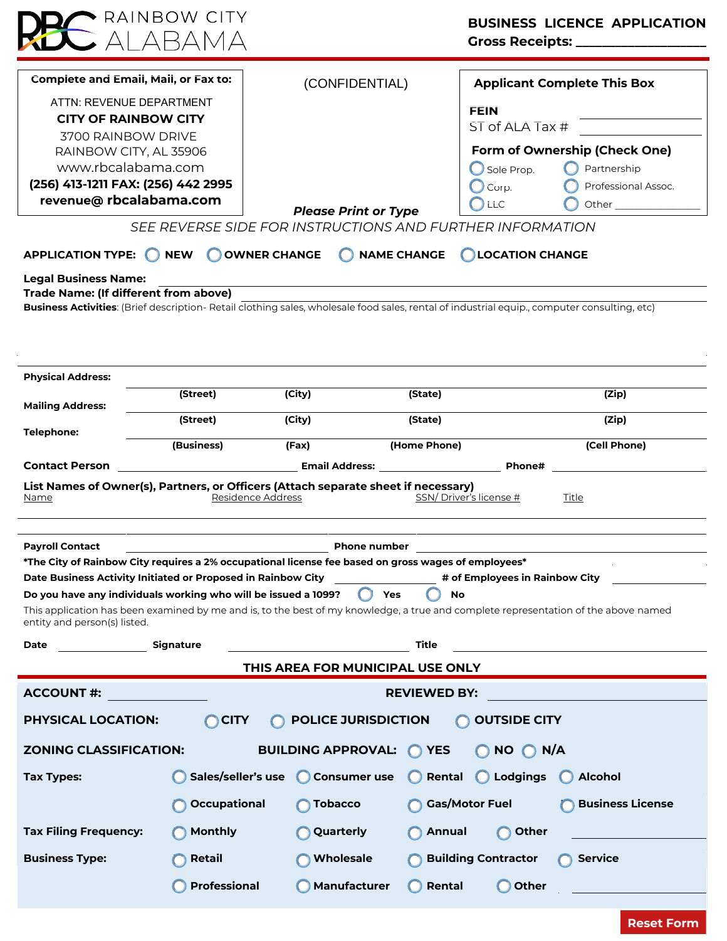| Complete and Email, Mail, or Fax to:<br>ATTN: REVENUE DEPARTMENT<br><b>CITY OF RAINBOW CITY</b><br>3700 RAINBOW DRIVE<br>RAINBOW CITY, AL 35906<br>www.rbcalabama.com<br>(256) 413-1211 FAX: (256) 442 2995<br>revenue@ rbcalabama.com<br><b>APPLICATION TYPE:</b><br><b>NEW</b><br><b>Legal Business Name:</b><br>Trade Name: (If different from above) |                     | (CONFIDENTIAL)<br><b>Please Print or Type</b><br>SEE REVERSE SIDE FOR INSTRUCTIONS AND FURTHER INFORMATION<br><b>OWNER CHANGE</b><br><b>NAME CHANGE</b> |                            | <b>Applicant Complete This Box</b><br><b>FEIN</b><br>ST of ALA Tax #<br>Form of Ownership (Check One)<br>Partnership<br>Sole Prop.<br>Professional Assoc.<br>Corp.<br><b>LLC</b><br>Other the control of the control of the control of the control of the control of the control of the control of<br><b>LOCATION CHANGE</b> |  |
|----------------------------------------------------------------------------------------------------------------------------------------------------------------------------------------------------------------------------------------------------------------------------------------------------------------------------------------------------------|---------------------|---------------------------------------------------------------------------------------------------------------------------------------------------------|----------------------------|------------------------------------------------------------------------------------------------------------------------------------------------------------------------------------------------------------------------------------------------------------------------------------------------------------------------------|--|
| Business Activities: (Brief description- Retail clothing sales, wholesale food sales, rental of industrial equip., computer consulting, etc)                                                                                                                                                                                                             |                     |                                                                                                                                                         |                            |                                                                                                                                                                                                                                                                                                                              |  |
| <b>Physical Address:</b>                                                                                                                                                                                                                                                                                                                                 |                     |                                                                                                                                                         |                            |                                                                                                                                                                                                                                                                                                                              |  |
| <b>Mailing Address:</b>                                                                                                                                                                                                                                                                                                                                  | (Street)            | (City)                                                                                                                                                  | (State)                    | (Zip)                                                                                                                                                                                                                                                                                                                        |  |
|                                                                                                                                                                                                                                                                                                                                                          | (Street)            | (City)                                                                                                                                                  | (State)                    | (Zip)                                                                                                                                                                                                                                                                                                                        |  |
| <b>Telephone:</b>                                                                                                                                                                                                                                                                                                                                        | (Business)          | (Fax)                                                                                                                                                   | (Home Phone)               | (Cell Phone)                                                                                                                                                                                                                                                                                                                 |  |
| <b>Contact Person</b><br><b>Email Address:</b> <u>Containing the Contractor of Benedict Address:</u><br><b>Phone#</b>                                                                                                                                                                                                                                    |                     |                                                                                                                                                         |                            |                                                                                                                                                                                                                                                                                                                              |  |
| List Names of Owner(s), Partners, or Officers (Attach separate sheet if necessary)<br>SSN/Driver's license #<br>Residence Address<br>Title<br>Name                                                                                                                                                                                                       |                     |                                                                                                                                                         |                            |                                                                                                                                                                                                                                                                                                                              |  |
|                                                                                                                                                                                                                                                                                                                                                          |                     |                                                                                                                                                         |                            |                                                                                                                                                                                                                                                                                                                              |  |
| <b>Payroll Contact</b><br><b>Phone number</b><br>*The City of Rainbow City requires a 2% occupational license fee based on gross wages of employees*                                                                                                                                                                                                     |                     |                                                                                                                                                         |                            |                                                                                                                                                                                                                                                                                                                              |  |
| Date Business Activity Initiated or Proposed in Rainbow City<br># of Employees in Rainbow City                                                                                                                                                                                                                                                           |                     |                                                                                                                                                         |                            |                                                                                                                                                                                                                                                                                                                              |  |
| Do you have any individuals working who will be issued a 1099?<br>Yes<br>No<br>This application has been examined by me and is, to the best of my knowledge, a true and complete representation of the above named<br>entity and person(s) listed.                                                                                                       |                     |                                                                                                                                                         |                            |                                                                                                                                                                                                                                                                                                                              |  |
| Date                                                                                                                                                                                                                                                                                                                                                     | Signature           |                                                                                                                                                         | Title                      |                                                                                                                                                                                                                                                                                                                              |  |
| THIS AREA FOR MUNICIPAL USE ONLY                                                                                                                                                                                                                                                                                                                         |                     |                                                                                                                                                         |                            |                                                                                                                                                                                                                                                                                                                              |  |
| <b>ACCOUNT#:</b><br><b>REVIEWED BY:</b>                                                                                                                                                                                                                                                                                                                  |                     |                                                                                                                                                         |                            |                                                                                                                                                                                                                                                                                                                              |  |
| <b>PHYSICAL LOCATION:</b><br><b>CITY</b><br><b>POLICE JURISDICTION</b><br><b>OUTSIDE CITY</b>                                                                                                                                                                                                                                                            |                     |                                                                                                                                                         |                            |                                                                                                                                                                                                                                                                                                                              |  |
| $NO$ $O$ $N/A$<br><b>ZONING CLASSIFICATION:</b><br><b>BUILDING APPROVAL:</b><br>O YES                                                                                                                                                                                                                                                                    |                     |                                                                                                                                                         |                            |                                                                                                                                                                                                                                                                                                                              |  |
| Tax Types:                                                                                                                                                                                                                                                                                                                                               | Sales/seller's use  | <b>Consumer use</b>                                                                                                                                     | Rental                     | <b>Lodgings</b><br><b>Alcohol</b>                                                                                                                                                                                                                                                                                            |  |
|                                                                                                                                                                                                                                                                                                                                                          | Occupational        | <b>Tobacco</b>                                                                                                                                          | <b>Gas/Motor Fuel</b>      | <b>Business License</b>                                                                                                                                                                                                                                                                                                      |  |
| <b>Tax Filing Frequency:</b>                                                                                                                                                                                                                                                                                                                             | <b>Monthly</b>      | Quarterly                                                                                                                                               | <b>Annual</b>              | Other                                                                                                                                                                                                                                                                                                                        |  |
|                                                                                                                                                                                                                                                                                                                                                          |                     |                                                                                                                                                         |                            |                                                                                                                                                                                                                                                                                                                              |  |
| <b>Business Type:</b>                                                                                                                                                                                                                                                                                                                                    | Retail              | <b>Wholesale</b>                                                                                                                                        | <b>Building Contractor</b> | <b>Service</b>                                                                                                                                                                                                                                                                                                               |  |
|                                                                                                                                                                                                                                                                                                                                                          | <b>Professional</b> | Manufacturer                                                                                                                                            | Rental                     | <b>Other</b>                                                                                                                                                                                                                                                                                                                 |  |